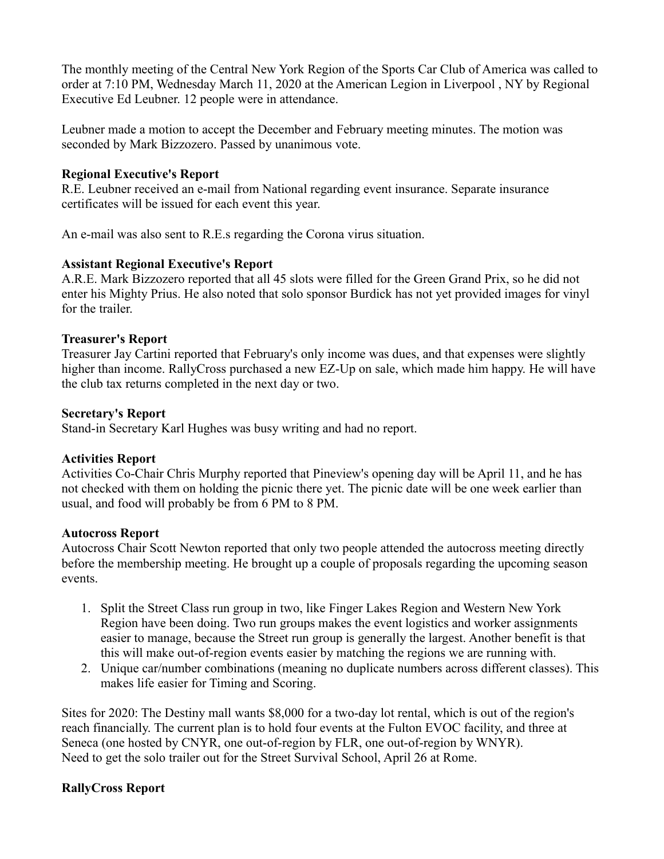The monthly meeting of the Central New York Region of the Sports Car Club of America was called to order at 7:10 PM, Wednesday March 11, 2020 at the American Legion in Liverpool , NY by Regional Executive Ed Leubner. 12 people were in attendance.

Leubner made a motion to accept the December and February meeting minutes. The motion was seconded by Mark Bizzozero. Passed by unanimous vote.

## **Regional Executive's Report**

R.E. Leubner received an e-mail from National regarding event insurance. Separate insurance certificates will be issued for each event this year.

An e-mail was also sent to R.E.s regarding the Corona virus situation.

# **Assistant Regional Executive's Report**

A.R.E. Mark Bizzozero reported that all 45 slots were filled for the Green Grand Prix, so he did not enter his Mighty Prius. He also noted that solo sponsor Burdick has not yet provided images for vinyl for the trailer.

### **Treasurer's Report**

Treasurer Jay Cartini reported that February's only income was dues, and that expenses were slightly higher than income. RallyCross purchased a new EZ-Up on sale, which made him happy. He will have the club tax returns completed in the next day or two.

#### **Secretary's Report**

Stand-in Secretary Karl Hughes was busy writing and had no report.

# **Activities Report**

Activities Co-Chair Chris Murphy reported that Pineview's opening day will be April 11, and he has not checked with them on holding the picnic there yet. The picnic date will be one week earlier than usual, and food will probably be from 6 PM to 8 PM.

# **Autocross Report**

Autocross Chair Scott Newton reported that only two people attended the autocross meeting directly before the membership meeting. He brought up a couple of proposals regarding the upcoming season events.

- 1. Split the Street Class run group in two, like Finger Lakes Region and Western New York Region have been doing. Two run groups makes the event logistics and worker assignments easier to manage, because the Street run group is generally the largest. Another benefit is that this will make out-of-region events easier by matching the regions we are running with.
- 2. Unique car/number combinations (meaning no duplicate numbers across different classes). This makes life easier for Timing and Scoring.

Sites for 2020: The Destiny mall wants \$8,000 for a two-day lot rental, which is out of the region's reach financially. The current plan is to hold four events at the Fulton EVOC facility, and three at Seneca (one hosted by CNYR, one out-of-region by FLR, one out-of-region by WNYR). Need to get the solo trailer out for the Street Survival School, April 26 at Rome.

# **RallyCross Report**